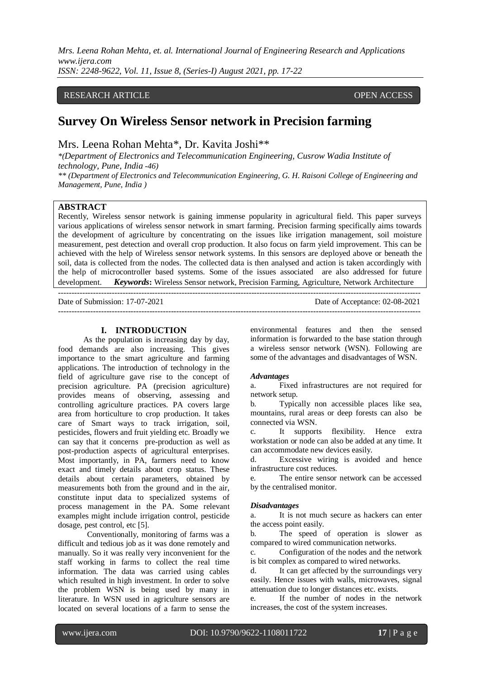### RESEARCH ARTICLE **CONSERVERS** OPEN ACCESS

# **Survey On Wireless Sensor network in Precision farming**

Mrs. Leena Rohan Mehta\*, Dr. Kavita Joshi\*\*

---------------------------------------------------------------------------------------------------------------------------------------

*\*(Department of Electronics and Telecommunication Engineering, Cusrow Wadia Institute of technology, Pune, India -46)*

*\*\* (Department of Electronics and Telecommunication Engineering, G. H. Raisoni College of Engineering and Management, Pune, India )*

# **ABSTRACT**

Recently, Wireless sensor network is gaining immense popularity in agricultural field. This paper surveys various applications of wireless sensor network in smart farming. Precision farming specifically aims towards the development of agriculture by concentrating on the issues like irrigation management, soil moisture measurement, pest detection and overall crop production. It also focus on farm yield improvement. This can be achieved with the help of Wireless sensor network systems. In this sensors are deployed above or beneath the soil, data is collected from the nodes. The collected data is then analysed and action is taken accordingly with the help of microcontroller based systems. Some of the issues associated are also addressed for future development. *Keywords***:** Wireless Sensor network, Precision Farming, Agriculture, Network Architecture

---------------------------------------------------------------------------------------------------------------------------------------

Date of Submission: 17-07-2021 Date of Acceptance: 02-08-2021

## **I. INTRODUCTION**

As the population is increasing day by day, food demands are also increasing. This gives importance to the smart agriculture and farming applications. The introduction of technology in the field of agriculture gave rise to the concept of precision agriculture. PA (precision agriculture) provides means of observing, assessing and controlling agriculture practices. PA covers large area from horticulture to crop production. It takes care of Smart ways to track irrigation, soil, pesticides, flowers and fruit yielding etc. Broadly we can say that it concerns pre-production as well as post-production aspects of agricultural enterprises. Most importantly, in PA, farmers need to know exact and timely details about crop status. These details about certain parameters, obtained by measurements both from the ground and in the air, constitute input data to specialized systems of process management in the PA. Some relevant examples might include irrigation control, pesticide dosage, pest control, etc [5].

Conventionally, monitoring of farms was a difficult and tedious job as it was done remotely and manually. So it was really very inconvenient for the staff working in farms to collect the real time information. The data was carried using cables which resulted in high investment. In order to solve the problem WSN is being used by many in literature. In WSN used in agriculture sensors are located on several locations of a farm to sense the

environmental features and then the sensed information is forwarded to the base station through a wireless sensor network (WSN). Following are some of the advantages and disadvantages of WSN.

#### *Advantages*

a. Fixed infrastructures are not required for network setup.

b. Typically non accessible places like sea, mountains, rural areas or deep forests can also be connected via WSN.

c. It supports flexibility. Hence extra workstation or node can also be added at any time. It can accommodate new devices easily.

d. Excessive wiring is avoided and hence infrastructure cost reduces.

e. The entire sensor network can be accessed by the centralised monitor.

#### *Disadvantages*

a. It is not much secure as hackers can enter the access point easily.

b. The speed of operation is slower as compared to wired communication networks.

c. Configuration of the nodes and the network is bit complex as compared to wired networks.

d. It can get affected by the surroundings very easily. Hence issues with walls, microwaves, signal attenuation due to longer distances etc. exists.

e. If the number of nodes in the network increases, the cost of the system increases.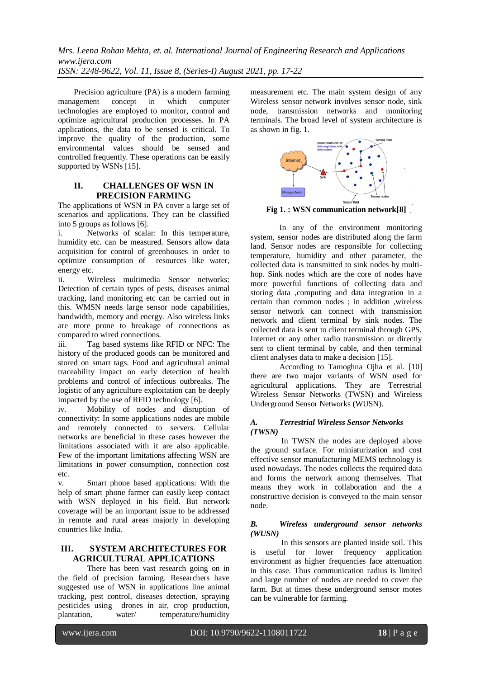Precision agriculture (PA) is a modern farming management concept in which computer technologies are employed to monitor, control and optimize agricultural production processes. In PA applications, the data to be sensed is critical. To improve the quality of the production, some environmental values should be sensed and controlled frequently. These operations can be easily supported by WSNs [15].

# **II. CHALLENGES OF WSN IN PRECISION FARMING**

The applications of WSN in PA cover a large set of scenarios and applications. They can be classified into 5 groups as follows [6].

i. Networks of scalar: In this temperature, humidity etc. can be measured. Sensors allow data acquisition for control of greenhouses in order to optimize consumption of resources like water, energy etc.

ii. Wireless multimedia Sensor networks: Detection of certain types of pests, diseases animal tracking, land monitoring etc can be carried out in this. WMSN needs large sensor node capabilities, bandwidth, memory and energy. Also wireless links are more prone to breakage of connections as compared to wired connections.

iii. Tag based systems like RFID or NFC: The history of the produced goods can be monitored and stored on smart tags. Food and agricultural animal traceability impact on early detection of health problems and control of infectious outbreaks. The logistic of any agriculture exploitation can be deeply impacted by the use of RFID technology [6].

iv. Mobility of nodes and disruption of connectivity: In some applications nodes are mobile and remotely connected to servers. Cellular networks are beneficial in these cases however the limitations associated with it are also applicable. Few of the important limitations affecting WSN are limitations in power consumption, connection cost  $_{\text{etc.}}$ 

v. Smart phone based applications: With the help of smart phone farmer can easily keep contact with WSN deployed in his field. But network coverage will be an important issue to be addressed in remote and rural areas majorly in developing countries like India.

# **III. SYSTEM ARCHITECTURES FOR AGRICULTURAL APPLICATIONS**

 There has been vast research going on in the field of precision farming. Researchers have suggested use of WSN in applications line animal tracking, pest control, diseases detection, spraying pesticides using drones in air, crop production, plantation, water/ temperature/humidity

measurement etc. The main system design of any Wireless sensor network involves sensor node, sink node, transmission networks and monitoring terminals. The broad level of system architecture is as shown in fig. 1.



**Fig 1. : WSN communication network[8]**

In any of the environment monitoring system, sensor nodes are distributed along the farm land. Sensor nodes are responsible for collecting temperature, humidity and other parameter, the collected data is transmitted to sink nodes by multihop. Sink nodes which are the core of nodes have more powerful functions of collecting data and storing data ,computing and data integration in a certain than common nodes ; in addition ,wireless sensor network can connect with transmission network and client terminal by sink nodes. The collected data is sent to client terminal through GPS, Internet or any other radio transmission or directly sent to client terminal by cable, and then terminal client analyses data to make a decision [15].

 According to Tamoghna Ojha et al. [10] there are two major variants of WSN used for agricultural applications. They are Terrestrial Wireless Sensor Networks (TWSN) and Wireless Underground Sensor Networks (WUSN).

# *A. Terrestrial Wireless Sensor Networks (TWSN)*

In TWSN the nodes are deployed above the ground surface. For miniaturization and cost effective sensor manufacturing MEMS technology is used nowadays. The nodes collects the required data and forms the network among themselves. That means they work in collaboration and the a constructive decision is conveyed to the main sensor node.

#### *B. Wireless underground sensor networks (WUSN)*

In this sensors are planted inside soil. This is useful for lower frequency application environment as higher frequencies face attenuation in this case. Thus communication radius is limited and large number of nodes are needed to cover the farm. But at times these underground sensor motes can be vulnerable for farming.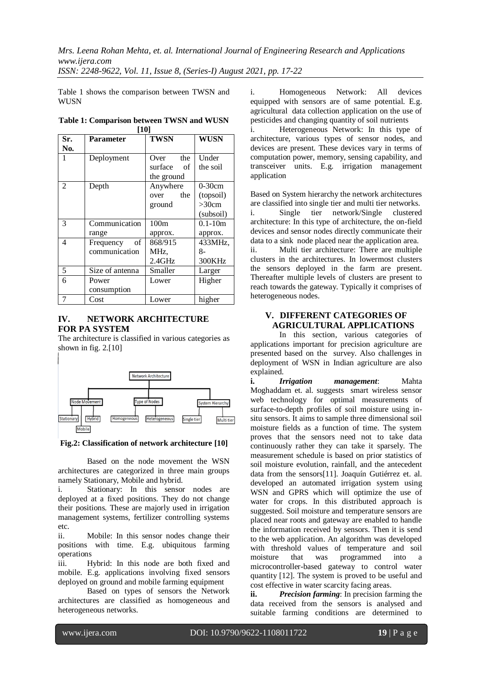Table 1 shows the comparison between TWSN and WUSN

|     | I TU I           |               |             |
|-----|------------------|---------------|-------------|
| Sr. | <b>Parameter</b> | <b>TWSN</b>   | <b>WUSN</b> |
| No. |                  |               |             |
|     | Deployment       | the<br>Over   | Under       |
|     |                  | surface<br>of | the soil    |
|     |                  | the ground    |             |
| 2   | Depth            | Anywhere      | $0-30cm$    |
|     |                  | the<br>over   | (topsoil)   |
|     |                  | ground        | >30cm       |
|     |                  |               | (subsoil)   |
| 3   | Communication    | 100m          | $0.1 - 10m$ |
|     | range            | approx.       | approx.     |
| 4   | οf<br>Frequency  | 868/915       | 433MHz,     |
|     | communication    | MHz,          | 8-          |
|     |                  | $2.4$ GHz     | 300KHz      |
| 5   | Size of antenna  | Smaller       | Larger      |
| 6   | Power            | Lower         | Higher      |
|     | consumption      |               |             |
| 7   | Cost             | Lower         | higher      |

**Table 1: Comparison between TWSN and WUSN [10]**

# **IV. NETWORK ARCHITECTURE FOR PA SYSTEM**

The architecture is classified in various categories as shown in fig. 2.[10]



**Fig.2: Classification of network architecture [10]**

 Based on the node movement the WSN architectures are categorized in three main groups namely Stationary, Mobile and hybrid.

i. Stationary: In this sensor nodes are deployed at a fixed positions. They do not change their positions. These are majorly used in irrigation management systems, fertilizer controlling systems etc.

ii. Mobile: In this sensor nodes change their positions with time. E.g. ubiquitous farming operations

iii. Hybrid: In this node are both fixed and mobile. E.g. applications involving fixed sensors deployed on ground and mobile farming equipment

 Based on types of sensors the Network architectures are classified as homogeneous and heterogeneous networks.

i. Homogeneous Network: All devices equipped with sensors are of same potential. E.g. agricultural data collection application on the use of pesticides and changing quantity of soil nutrients

i. Heterogeneous Network: In this type of architecture, various types of sensor nodes, and devices are present. These devices vary in terms of computation power, memory, sensing capability, and transceiver units. E.g. irrigation management application

Based on System hierarchy the network architectures are classified into single tier and multi tier networks.

i. Single tier network/Single clustered architecture: In this type of architecture, the on-field devices and sensor nodes directly communicate their data to a sink node placed near the application area.

ii. Multi tier architecture: There are multiple clusters in the architectures. In lowermost clusters the sensors deployed in the farm are present. Thereafter multiple levels of clusters are present to reach towards the gateway. Typically it comprises of heterogeneous nodes.

# **V. DIFFERENT CATEGORIES OF AGRICULTURAL APPLICATIONS**

In this section, various categories of applications important for precision agriculture are presented based on the survey. Also challenges in deployment of WSN in Indian agriculture are also explained.

**i.** *Irrigation management*: Mahta Moghaddam et. al. suggests smart wireless sensor web technology for optimal measurements of surface-to-depth profiles of soil moisture using insitu sensors. It aims to sample three dimensional soil moisture fields as a function of time. The system proves that the sensors need not to take data continuously rather they can take it sparsely. The measurement schedule is based on prior statistics of soil moisture evolution, rainfall, and the antecedent data from the sensors[11]. Joaquín Gutiérrez et. al. developed an automated irrigation system using WSN and GPRS which will optimize the use of water for crops. In this distributed approach is suggested. Soil moisture and temperature sensors are placed near roots and gateway are enabled to handle the information received by sensors. Then it is send to the web application. An algorithm was developed with threshold values of temperature and soil moisture that was programmed into a microcontroller-based gateway to control water quantity [12]. The system is proved to be useful and cost effective in water scarcity facing areas.

**ii.** *Precision farming*: In precision farming the data received from the sensors is analysed and suitable farming conditions are determined to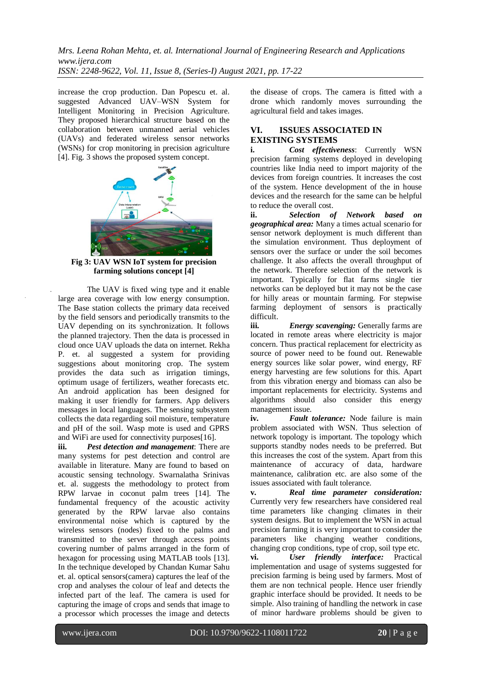increase the crop production. Dan Popescu et. al. suggested Advanced UAV–WSN System for Intelligent Monitoring in Precision Agriculture. They proposed hierarchical structure based on the collaboration between unmanned aerial vehicles (UAVs) and federated wireless sensor networks (WSNs) for crop monitoring in precision agriculture [4]. Fig. 3 shows the proposed system concept.



**Fig 3: UAV WSN IoT system for precision farming solutions concept [4]**

The UAV is fixed wing type and it enable large area coverage with low energy consumption. The Base station collects the primary data received by the field sensors and periodically transmits to the UAV depending on its synchronization. It follows the planned trajectory. Then the data is processed in cloud once UAV uploads the data on internet. Rekha P. et. al suggested a system for providing suggestions about monitoring crop. The system provides the data such as irrigation timings, optimum usage of fertilizers, weather forecasts etc. An android application has been designed for making it user friendly for farmers. App delivers messages in local languages. The sensing subsystem collects the data regarding soil moisture, temperature and pH of the soil. Wasp mote is used and GPRS and WiFi are used for connectivity purposes[16].

**iii.** *Pest detection and management*: There are many systems for pest detection and control are available in literature. Many are found to based on acoustic sensing technology. Swarnalatha Srinivas et. al. suggests the methodology to protect from RPW larvae in coconut palm trees [14]. The fundamental frequency of the acoustic activity generated by the RPW larvae also contains environmental noise which is captured by the wireless sensors (nodes) fixed to the palms and transmitted to the server through access points covering number of palms arranged in the form of hexagon for processing using MATLAB tools [13]. In the technique developed by Chandan Kumar Sahu et. al. optical sensors(camera) captures the leaf of the crop and analyses the colour of leaf and detects the infected part of the leaf. The camera is used for capturing the image of crops and sends that image to a processor which processes the image and detects

the disease of crops. The camera is fitted with a drone which randomly moves surrounding the agricultural field and takes images.

# **VI. ISSUES ASSOCIATED IN EXISTING SYSTEMS**

**i.** *Cost effectiveness*: Currently WSN precision farming systems deployed in developing countries like India need to import majority of the devices from foreign countries. It increases the cost of the system. Hence development of the in house devices and the research for the same can be helpful to reduce the overall cost.

**ii.** *Selection of Network based on geographical area:* Many a times actual scenario for sensor network deployment is much different than the simulation environment. Thus deployment of sensors over the surface or under the soil becomes challenge. It also affects the overall throughput of the network. Therefore selection of the network is important. Typically for flat farms single tier networks can be deployed but it may not be the case for hilly areas or mountain farming. For stepwise farming deployment of sensors is practically difficult.

**iii.** *Energy scavenging:* Generally farms are located in remote areas where electricity is major concern. Thus practical replacement for electricity as source of power need to be found out. Renewable energy sources like solar power, wind energy, RF energy harvesting are few solutions for this. Apart from this vibration energy and biomass can also be important replacements for electricity. Systems and algorithms should also consider this energy management issue.

**iv.** *Fault tolerance:* Node failure is main problem associated with WSN. Thus selection of network topology is important. The topology which supports standby nodes needs to be preferred. But this increases the cost of the system. Apart from this maintenance of accuracy of data, hardware maintenance, calibration etc. are also some of the issues associated with fault tolerance.

**v.** *Real time parameter consideration:* Currently very few researchers have considered real time parameters like changing climates in their system designs. But to implement the WSN in actual precision farming it is very important to consider the parameters like changing weather conditions, changing crop conditions, type of crop, soil type etc. **vi.** *User friendly interface:* Practical implementation and usage of systems suggested for precision farming is being used by farmers. Most of them are non technical people. Hence user friendly graphic interface should be provided. It needs to be simple. Also training of handling the network in case of minor hardware problems should be given to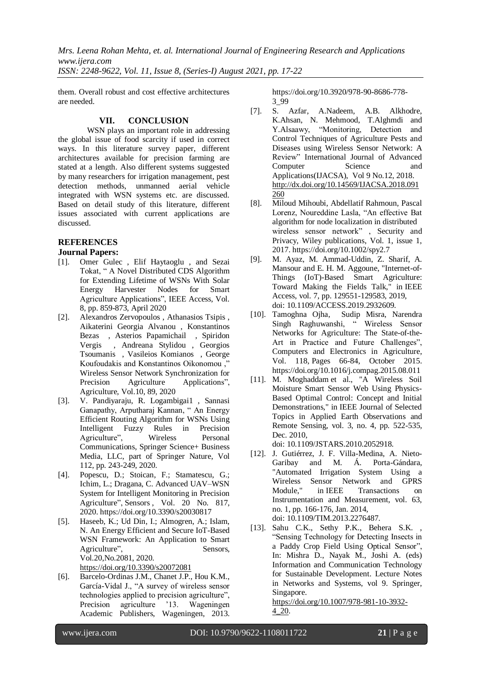*Mrs. Leena Rohan Mehta, et. al. International Journal of Engineering Research and Applications www.ijera.com*

*ISSN: 2248-9622, Vol. 11, Issue 8, (Series-I) August 2021, pp. 17-22*

them. Overall robust and cost effective architectures are needed.

# **VII. CONCLUSION**

WSN plays an important role in addressing the global issue of food scarcity if used in correct ways. In this literature survey paper, different architectures available for precision farming are stated at a length. Also different systems suggested by many researchers for irrigation management, pest detection methods, unmanned aerial vehicle integrated with WSN systems etc. are discussed. Based on detail study of this literature, different issues associated with current applications are discussed.

# **REFERENCES**

# **Journal Papers:**

- [1]. Omer Gulec , Elif Haytaoglu , and Sezai Tokat, " A Novel Distributed CDS Algorithm for Extending Lifetime of WSNs With Solar Energy Harvester Nodes for Smart Agriculture Applications", IEEE Access, Vol. 8, pp. 859-873, April 2020
- [2]. Alexandros Zervopoulos , Athanasios Tsipis , Aikaterini Georgia Alvanou , Konstantinos Bezas , Asterios Papamichail , Spiridon Vergis , Andreana Stylidou , Georgios Tsoumanis , Vasileios Komianos , George Koufoudakis and Konstantinos Oikonomou ," Wireless Sensor Network Synchronization for Precision Agriculture Applications", Agriculture, Vol.10, 89, 2020
- [3]. V. Pandiyaraju, R. Logambigai1 , Sannasi Ganapathy, Arputharaj Kannan, " An Energy Efficient Routing Algorithm for WSNs Using Intelligent Fuzzy Rules in Precision Agriculture", Wireless Personal Communications, Springer Science+ Business Media, LLC, part of Springer Nature, Vol 112, pp. 243-249, 2020.
- [4]. Popescu, D.; Stoican, F.; Stamatescu, G.; Ichim, L.; Dragana, C. Advanced UAV–WSN System for Intelligent Monitoring in Precision Agriculture", Sensors , Vol. 20 No. 817, 2020.<https://doi.org/10.3390/s20030817>
- [5]. Haseeb, K.; Ud Din, I.; Almogren, A.; Islam, N. An Energy Efficient and Secure IoT-Based WSN Framework: An Application to Smart Agriculture", Sensors, Vol.20,No.2081, 2020. <https://doi.org/10.3390/s20072081>
- [6]. Barcelo-Ordinas J.M., Chanet J.P., Hou K.M., García-Vidal J., "A survey of wireless sensor technologies applied to precision agriculture", Precision agriculture '13. Wageningen Academic Publishers, Wageningen, 2013.

[https://doi.org/10.3920/978-90-8686-778-](https://doi.org/10.3920/978-90-8686-778-3_99) [3\\_99](https://doi.org/10.3920/978-90-8686-778-3_99)

- [7]. S. Azfar, A.Nadeem, A.B. Alkhodre, K.Ahsan, N. Mehmood, T.Alghmdi and Y.Alsaawy, "Monitoring, Detection and Control Techniques of Agriculture Pests and Diseases using Wireless Sensor Network: A Review" International Journal of Advanced Computer Science and Applications(IJACSA), Vol 9 No.12, 2018. [http://dx.doi.org/10.14569/IJACSA.2018.091](http://dx.doi.org/10.14569/IJACSA.2018.091260) [260](http://dx.doi.org/10.14569/IJACSA.2018.091260)
- [8]. Miloud Mihoubi, Abdellatif Rahmoun, Pascal Lorenz, Noureddine Lasla, "An effective Bat algorithm for node localization in distributed wireless sensor network" , Security and Privacy, Wiley publications, Vol. 1, issue 1, 2017[. https://doi.org/10.1002/spy2.7](https://doi.org/10.1002/spy2.7)
- [9]. M. Ayaz, M. Ammad-Uddin, Z. Sharif, A. Mansour and E. H. M. Aggoune, "Internet-of-Things (IoT)-Based Smart Agriculture: Toward Making the Fields Talk," in IEEE Access, vol. 7, pp. 129551-129583, 2019, doi: 10.1109/ACCESS.2019.2932609.
- [10]. [Tamoghna Ojha,](https://www.sciencedirect.com/science/article/abs/pii/S0168169915002379#!) [Sudip Misra,](https://www.sciencedirect.com/science/article/abs/pii/S0168169915002379#!) [Narendra](https://www.sciencedirect.com/science/article/abs/pii/S0168169915002379#!)  [Singh Raghuwanshi,](https://www.sciencedirect.com/science/article/abs/pii/S0168169915002379#!) " Wireless Sensor Networks for Agriculture: The State-of-the-Art in Practice and Future Challenges", [Computers and Electronics in Agriculture,](https://www.sciencedirect.com/science/journal/01681699) [Vol. 118,](https://www.sciencedirect.com/science/journal/01681699/118/supp/C) Pages 66-84, October 2015. <https://doi.org/10.1016/j.compag.2015.08.011>
- [11]. M. Moghaddam et al., "A Wireless Soil Moisture Smart Sensor Web Using Physics-Based Optimal Control: Concept and Initial Demonstrations," in IEEE Journal of Selected Topics in Applied Earth Observations and Remote Sensing, vol. 3, no. 4, pp. 522-535, Dec. 2010,

doi: 10.1109/JSTARS.2010.2052918.

- [12]. J. Gutiérrez, J. F. Villa-Medina, A. Nieto-Garibay and M. Á. Porta-Gándara, "Automated Irrigation System Using a Wireless Sensor Network and GPRS Module," in IEEE Transactions on Instrumentation and Measurement, vol. 63, no. 1, pp. 166-176, Jan. 2014, doi: 10.1109/TIM.2013.2276487.
- [13]. Sahu C.K., Sethy P.K., Behera S.K. , "Sensing Technology for Detecting Insects in a Paddy Crop Field Using Optical Sensor", In: Mishra D., Nayak M., Joshi A. (eds) Information and Communication Technology for Sustainable Development. Lecture Notes in Networks and Systems, vol 9. Springer, Singapore.

[https://doi.org/10.1007/978-981-10-3932-](https://doi.org/10.1007/978-981-10-3932-4_20) [4\\_20.](https://doi.org/10.1007/978-981-10-3932-4_20)